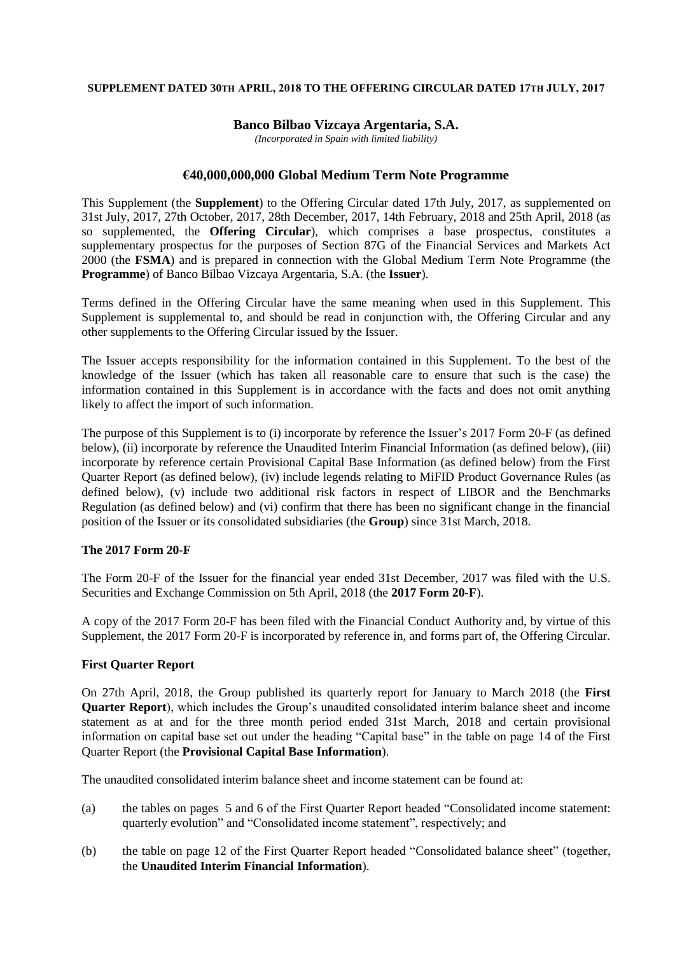### **SUPPLEMENT DATED 30TH APRIL, 2018 TO THE OFFERING CIRCULAR DATED 17TH JULY, 2017**

# **Banco Bilbao Vizcaya Argentaria, S.A.**

*(Incorporated in Spain with limited liability)*

### **€40,000,000,000 Global Medium Term Note Programme**

This Supplement (the **Supplement**) to the Offering Circular dated 17th July, 2017, as supplemented on 31st July, 2017, 27th October, 2017, 28th December, 2017, 14th February, 2018 and 25th April, 2018 (as so supplemented, the **Offering Circular**), which comprises a base prospectus, constitutes a supplementary prospectus for the purposes of Section 87G of the Financial Services and Markets Act 2000 (the **FSMA**) and is prepared in connection with the Global Medium Term Note Programme (the **Programme**) of Banco Bilbao Vizcaya Argentaria, S.A. (the **Issuer**).

Terms defined in the Offering Circular have the same meaning when used in this Supplement. This Supplement is supplemental to, and should be read in conjunction with, the Offering Circular and any other supplements to the Offering Circular issued by the Issuer.

The Issuer accepts responsibility for the information contained in this Supplement. To the best of the knowledge of the Issuer (which has taken all reasonable care to ensure that such is the case) the information contained in this Supplement is in accordance with the facts and does not omit anything likely to affect the import of such information.

The purpose of this Supplement is to (i) incorporate by reference the Issuer's 2017 Form 20-F (as defined below), (ii) incorporate by reference the Unaudited Interim Financial Information (as defined below), (iii) incorporate by reference certain Provisional Capital Base Information (as defined below) from the First Quarter Report (as defined below), (iv) include legends relating to MiFID Product Governance Rules (as defined below), (v) include two additional risk factors in respect of LIBOR and the Benchmarks Regulation (as defined below) and (vi) confirm that there has been no significant change in the financial position of the Issuer or its consolidated subsidiaries (the **Group**) since 31st March, 2018.

# **The 2017 Form 20-F**

The Form 20-F of the Issuer for the financial year ended 31st December, 2017 was filed with the U.S. Securities and Exchange Commission on 5th April, 2018 (the **2017 Form 20-F**).

A copy of the 2017 Form 20-F has been filed with the Financial Conduct Authority and, by virtue of this Supplement, the 2017 Form 20-F is incorporated by reference in, and forms part of, the Offering Circular.

# **First Quarter Report**

On 27th April, 2018, the Group published its quarterly report for January to March 2018 (the **First Quarter Report**), which includes the Group's unaudited consolidated interim balance sheet and income statement as at and for the three month period ended 31st March, 2018 and certain provisional information on capital base set out under the heading "Capital base" in the table on page 14 of the First Quarter Report (the **Provisional Capital Base Information**).

The unaudited consolidated interim balance sheet and income statement can be found at:

- (a) the tables on pages 5 and 6 of the First Quarter Report headed "Consolidated income statement: quarterly evolution" and "Consolidated income statement", respectively; and
- (b) the table on page 12 of the First Quarter Report headed "Consolidated balance sheet" (together, the **Unaudited Interim Financial Information**).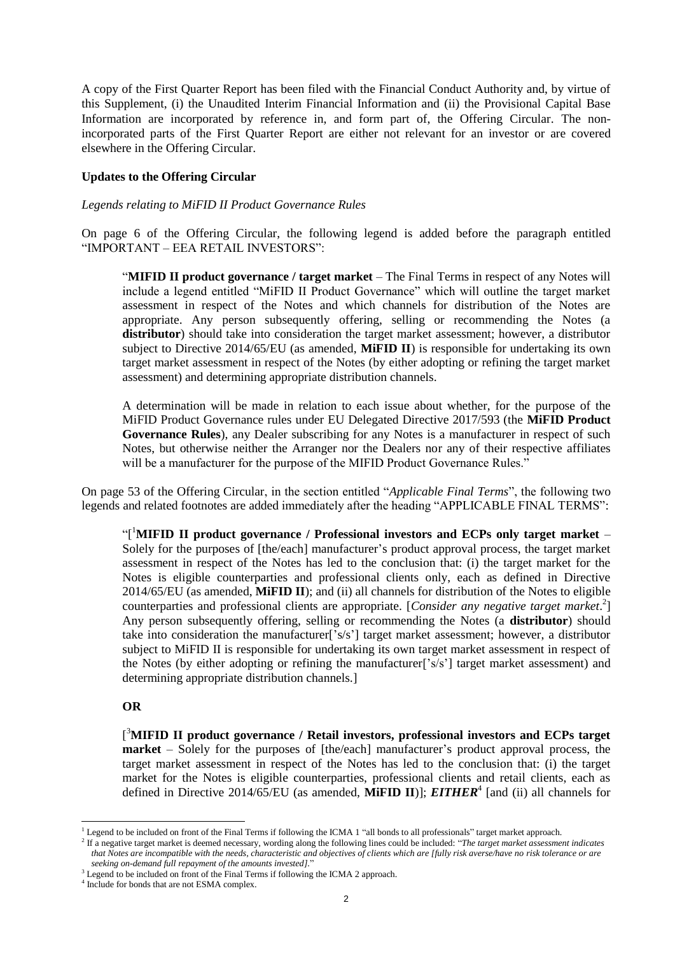A copy of the First Quarter Report has been filed with the Financial Conduct Authority and, by virtue of this Supplement, (i) the Unaudited Interim Financial Information and (ii) the Provisional Capital Base Information are incorporated by reference in, and form part of, the Offering Circular. The nonincorporated parts of the First Quarter Report are either not relevant for an investor or are covered elsewhere in the Offering Circular.

### **Updates to the Offering Circular**

#### *Legends relating to MiFID II Product Governance Rules*

On page 6 of the Offering Circular, the following legend is added before the paragraph entitled "IMPORTANT – EEA RETAIL INVESTORS":

"**MIFID II product governance / target market** – The Final Terms in respect of any Notes will include a legend entitled "MiFID II Product Governance" which will outline the target market assessment in respect of the Notes and which channels for distribution of the Notes are appropriate. Any person subsequently offering, selling or recommending the Notes (a **distributor**) should take into consideration the target market assessment; however, a distributor subject to Directive 2014/65/EU (as amended, **MiFID II**) is responsible for undertaking its own target market assessment in respect of the Notes (by either adopting or refining the target market assessment) and determining appropriate distribution channels.

A determination will be made in relation to each issue about whether, for the purpose of the MiFID Product Governance rules under EU Delegated Directive 2017/593 (the **MiFID Product Governance Rules**), any Dealer subscribing for any Notes is a manufacturer in respect of such Notes, but otherwise neither the Arranger nor the Dealers nor any of their respective affiliates will be a manufacturer for the purpose of the MIFID Product Governance Rules."

On page 53 of the Offering Circular, in the section entitled "*Applicable Final Terms*", the following two legends and related footnotes are added immediately after the heading "APPLICABLE FINAL TERMS":

"[ <sup>1</sup>**MIFID II product governance / Professional investors and ECPs only target market** – Solely for the purposes of [the/each] manufacturer's product approval process, the target market assessment in respect of the Notes has led to the conclusion that: (i) the target market for the Notes is eligible counterparties and professional clients only, each as defined in Directive 2014/65/EU (as amended, **MiFID II**); and (ii) all channels for distribution of the Notes to eligible counterparties and professional clients are appropriate. [*Consider any negative target market*. 2 ] Any person subsequently offering, selling or recommending the Notes (a **distributor**) should take into consideration the manufacturer['s/s'] target market assessment; however, a distributor subject to MiFID II is responsible for undertaking its own target market assessment in respect of the Notes (by either adopting or refining the manufacturer['s/s'] target market assessment) and determining appropriate distribution channels.]

#### **OR**

[ <sup>3</sup>**MIFID II product governance / Retail investors, professional investors and ECPs target market** – Solely for the purposes of [the/each] manufacturer's product approval process, the target market assessment in respect of the Notes has led to the conclusion that: (i) the target market for the Notes is eligible counterparties, professional clients and retail clients, each as defined in Directive 2014/65/EU (as amended, MiFID II)]; *EITHER<sup>4</sup>* [and (ii) all channels for

<sup>1</sup> <sup>1</sup> Legend to be included on front of the Final Terms if following the ICMA 1 "all bonds to all professionals" target market approach.

<sup>2</sup> If a negative target market is deemed necessary, wording along the following lines could be included: "*The target market assessment indicates that Notes are incompatible with the needs, characteristic and objectives of clients which are [fully risk averse/have no risk tolerance or are seeking on-demand full repayment of the amounts invested].*"

<sup>&</sup>lt;sup>3</sup> Legend to be included on front of the Final Terms if following the ICMA 2 approach.

<sup>4</sup> Include for bonds that are not ESMA complex.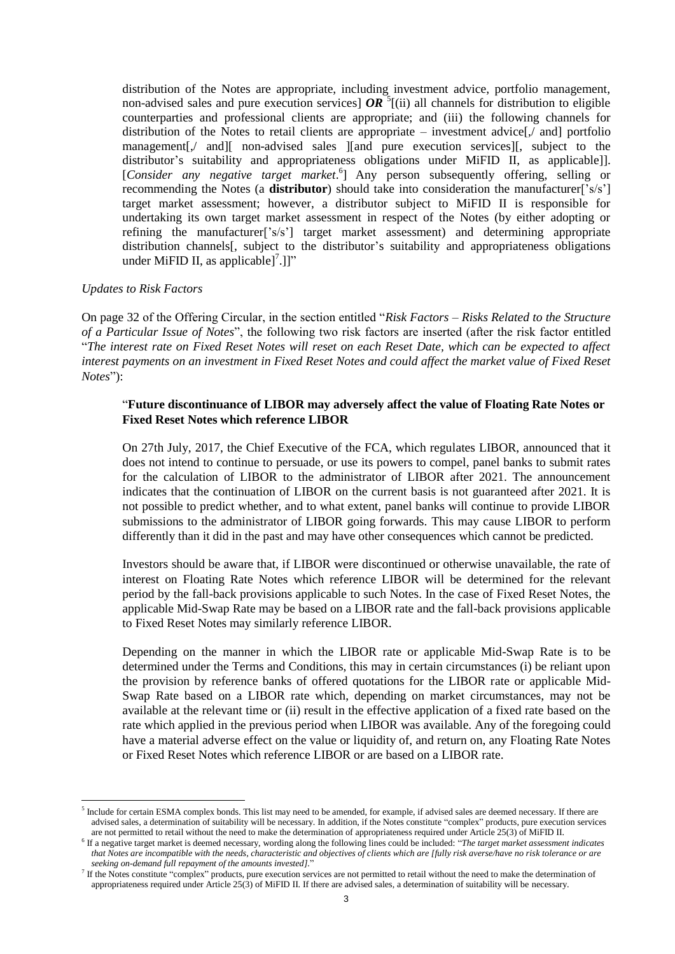distribution of the Notes are appropriate, including investment advice, portfolio management, non-advised sales and pure execution services]  $OR^5$ [(ii) all channels for distribution to eligible counterparties and professional clients are appropriate; and (iii) the following channels for distribution of the Notes to retail clients are appropriate – investment advice $[\sqrt{\ }$  and portfolio management[,/ and][ non-advised sales ][and pure execution services][, subject to the distributor's suitability and appropriateness obligations under MiFID II, as applicable]]. [*Consider any negative target market.*<sup>6</sup>] Any person subsequently offering, selling or recommending the Notes (a **distributor**) should take into consideration the manufacturer['s/s'] target market assessment; however, a distributor subject to MiFID II is responsible for undertaking its own target market assessment in respect of the Notes (by either adopting or refining the manufacturer['s/s'] target market assessment) and determining appropriate distribution channels[, subject to the distributor's suitability and appropriateness obligations under MiFID II, as applicable]<sup>7</sup>.]]"

### *Updates to Risk Factors*

1

On page 32 of the Offering Circular, in the section entitled "*Risk Factors – Risks Related to the Structure of a Particular Issue of Notes*", the following two risk factors are inserted (after the risk factor entitled "*The interest rate on Fixed Reset Notes will reset on each Reset Date, which can be expected to affect interest payments on an investment in Fixed Reset Notes and could affect the market value of Fixed Reset Notes*"):

# "**Future discontinuance of LIBOR may adversely affect the value of Floating Rate Notes or Fixed Reset Notes which reference LIBOR**

On 27th July, 2017, the Chief Executive of the FCA, which regulates LIBOR, announced that it does not intend to continue to persuade, or use its powers to compel, panel banks to submit rates for the calculation of LIBOR to the administrator of LIBOR after 2021. The announcement indicates that the continuation of LIBOR on the current basis is not guaranteed after 2021. It is not possible to predict whether, and to what extent, panel banks will continue to provide LIBOR submissions to the administrator of LIBOR going forwards. This may cause LIBOR to perform differently than it did in the past and may have other consequences which cannot be predicted.

Investors should be aware that, if LIBOR were discontinued or otherwise unavailable, the rate of interest on Floating Rate Notes which reference LIBOR will be determined for the relevant period by the fall-back provisions applicable to such Notes. In the case of Fixed Reset Notes, the applicable Mid-Swap Rate may be based on a LIBOR rate and the fall-back provisions applicable to Fixed Reset Notes may similarly reference LIBOR.

Depending on the manner in which the LIBOR rate or applicable Mid-Swap Rate is to be determined under the Terms and Conditions, this may in certain circumstances (i) be reliant upon the provision by reference banks of offered quotations for the LIBOR rate or applicable Mid-Swap Rate based on a LIBOR rate which, depending on market circumstances, may not be available at the relevant time or (ii) result in the effective application of a fixed rate based on the rate which applied in the previous period when LIBOR was available. Any of the foregoing could have a material adverse effect on the value or liquidity of, and return on, any Floating Rate Notes or Fixed Reset Notes which reference LIBOR or are based on a LIBOR rate.

<sup>&</sup>lt;sup>5</sup> Include for certain ESMA complex bonds. This list may need to be amended, for example, if advised sales are deemed necessary. If there are advised sales, a determination of suitability will be necessary. In addition, if the Notes constitute "complex" products, pure execution services are not permitted to retail without the need to make the determination of appropriateness required under Article 25(3) of MiFID II.

<sup>6</sup> If a negative target market is deemed necessary, wording along the following lines could be included: "*The target market assessment indicates that Notes are incompatible with the needs, characteristic and objectives of clients which are [fully risk averse/have no risk tolerance or are seeking on-demand full repayment of the amounts invested].*"

<sup>&</sup>lt;sup>7</sup> If the Notes constitute "complex" products, pure execution services are not permitted to retail without the need to make the determination of appropriateness required under Article 25(3) of MiFID II. If there are advised sales, a determination of suitability will be necessary.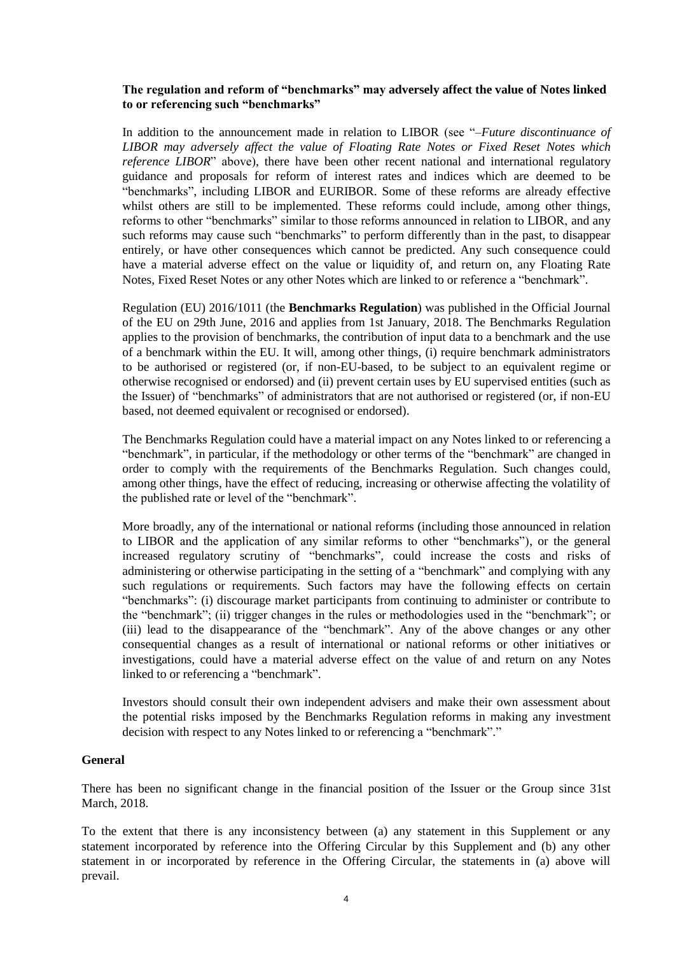# **The regulation and reform of "benchmarks" may adversely affect the value of Notes linked to or referencing such "benchmarks"**

In addition to the announcement made in relation to LIBOR (see "*–Future discontinuance of LIBOR may adversely affect the value of Floating Rate Notes or Fixed Reset Notes which reference LIBOR*" above), there have been other recent national and international regulatory guidance and proposals for reform of interest rates and indices which are deemed to be "benchmarks", including LIBOR and EURIBOR. Some of these reforms are already effective whilst others are still to be implemented. These reforms could include, among other things, reforms to other "benchmarks" similar to those reforms announced in relation to LIBOR, and any such reforms may cause such "benchmarks" to perform differently than in the past, to disappear entirely, or have other consequences which cannot be predicted. Any such consequence could have a material adverse effect on the value or liquidity of, and return on, any Floating Rate Notes, Fixed Reset Notes or any other Notes which are linked to or reference a "benchmark".

Regulation (EU) 2016/1011 (the **Benchmarks Regulation**) was published in the Official Journal of the EU on 29th June, 2016 and applies from 1st January, 2018. The Benchmarks Regulation applies to the provision of benchmarks, the contribution of input data to a benchmark and the use of a benchmark within the EU. It will, among other things, (i) require benchmark administrators to be authorised or registered (or, if non-EU-based, to be subject to an equivalent regime or otherwise recognised or endorsed) and (ii) prevent certain uses by EU supervised entities (such as the Issuer) of "benchmarks" of administrators that are not authorised or registered (or, if non-EU based, not deemed equivalent or recognised or endorsed).

The Benchmarks Regulation could have a material impact on any Notes linked to or referencing a "benchmark", in particular, if the methodology or other terms of the "benchmark" are changed in order to comply with the requirements of the Benchmarks Regulation. Such changes could, among other things, have the effect of reducing, increasing or otherwise affecting the volatility of the published rate or level of the "benchmark".

More broadly, any of the international or national reforms (including those announced in relation to LIBOR and the application of any similar reforms to other "benchmarks"), or the general increased regulatory scrutiny of "benchmarks", could increase the costs and risks of administering or otherwise participating in the setting of a "benchmark" and complying with any such regulations or requirements. Such factors may have the following effects on certain "benchmarks": (i) discourage market participants from continuing to administer or contribute to the "benchmark"; (ii) trigger changes in the rules or methodologies used in the "benchmark"; or (iii) lead to the disappearance of the "benchmark". Any of the above changes or any other consequential changes as a result of international or national reforms or other initiatives or investigations, could have a material adverse effect on the value of and return on any Notes linked to or referencing a "benchmark".

Investors should consult their own independent advisers and make their own assessment about the potential risks imposed by the Benchmarks Regulation reforms in making any investment decision with respect to any Notes linked to or referencing a "benchmark"."

# **General**

There has been no significant change in the financial position of the Issuer or the Group since 31st March, 2018.

To the extent that there is any inconsistency between (a) any statement in this Supplement or any statement incorporated by reference into the Offering Circular by this Supplement and (b) any other statement in or incorporated by reference in the Offering Circular, the statements in (a) above will prevail.